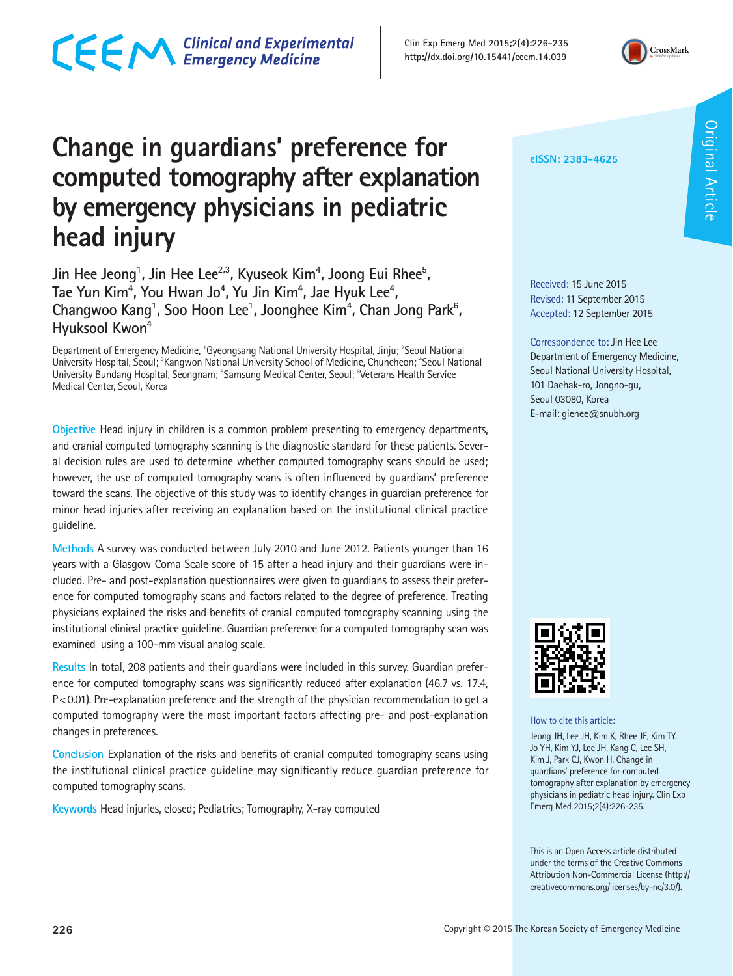## CECM Clinical and Experimental

**Clin Exp Emerg Med 2015;2(4):226-235 http://dx.doi.org/10.15441/ceem.14.039**



## **Change in guardians' preference for computed tomography after explanation by emergency physicians in pediatric head injury**

Jin Hee Jeong<sup>1</sup>, Jin Hee Lee<sup>2,3</sup>, Kyuseok Kim<sup>4</sup>, Joong Eui Rhee<sup>5</sup>, Tae Yun Kim<sup>4</sup>, You Hwan Jo<sup>4</sup>, Yu Jin Kim<sup>4</sup>, Jae Hyuk Lee<sup>4</sup>, Changwoo Kang<sup>1</sup>, Soo Hoon Lee<sup>1</sup>, Joonghee Kim<sup>4</sup>, Chan Jong Park<sup>6</sup>, **Hyuksool Kwon4**

Department of Emergency Medicine, <sup>1</sup>Gyeongsang National University Hospital, Jinju; <sup>2</sup>Seoul National University Hospital, Seoul; <sup>3</sup>Kangwon National University School of Medicine, Chuncheon; <sup>4</sup>Seoul National University Bundang Hospital, Seongnam; <sup>5</sup>Samsung Medical Center, Seoul; <sup>6</sup>Veterans Health Service Medical Center, Seoul, Korea

**Objective** Head injury in children is a common problem presenting to emergency departments, and cranial computed tomography scanning is the diagnostic standard for these patients. Several decision rules are used to determine whether computed tomography scans should be used; however, the use of computed tomography scans is often influenced by guardians' preference toward the scans. The objective of this study was to identify changes in guardian preference for minor head injuries after receiving an explanation based on the institutional clinical practice guideline.

**Methods** A survey was conducted between July 2010 and June 2012. Patients younger than 16 years with a Glasgow Coma Scale score of 15 after a head injury and their guardians were included. Pre- and post-explanation questionnaires were given to guardians to assess their preference for computed tomography scans and factors related to the degree of preference. Treating physicians explained the risks and benefits of cranial computed tomography scanning using the institutional clinical practice guideline. Guardian preference for a computed tomography scan was examined using a 100-mm visual analog scale.

**Results** In total, 208 patients and their guardians were included in this survey. Guardian preference for computed tomography scans was significantly reduced after explanation (46.7 vs. 17.4, P<0.01). Pre-explanation preference and the strength of the physician recommendation to get a computed tomography were the most important factors affecting pre- and post-explanation changes in preferences.

**Conclusion** Explanation of the risks and benefits of cranial computed tomography scans using the institutional clinical practice guideline may significantly reduce guardian preference for computed tomography scans.

**Keywords** Head injuries, closed; Pediatrics; Tomography, X-ray computed

**eISSN: 2383-4625**

**Original Article** Original Article

Received: 15 June 2015 Revised: 11 September 2015 Accepted: 12 September 2015

Correspondence to: Jin Hee Lee Department of Emergency Medicine, Seoul National University Hospital, 101 Daehak-ro, Jongno-gu, Seoul 03080, Korea E-mail: gienee@snubh.org



How to cite this article:

Jeong JH, Lee JH, Kim K, Rhee JE, Kim TY, Jo YH, Kim YJ, Lee JH, Kang C, Lee SH, Kim J, Park CJ, Kwon H. Change in guardians' preference for computed tomography after explanation by emergency physicians in pediatric head injury. Clin Exp Emerg Med 2015;2(4):226-235.

This is an Open Access article distributed under the terms of the Creative Commons Attribution Non-Commercial License (http:// creativecommons.org/licenses/by-nc/3.0/).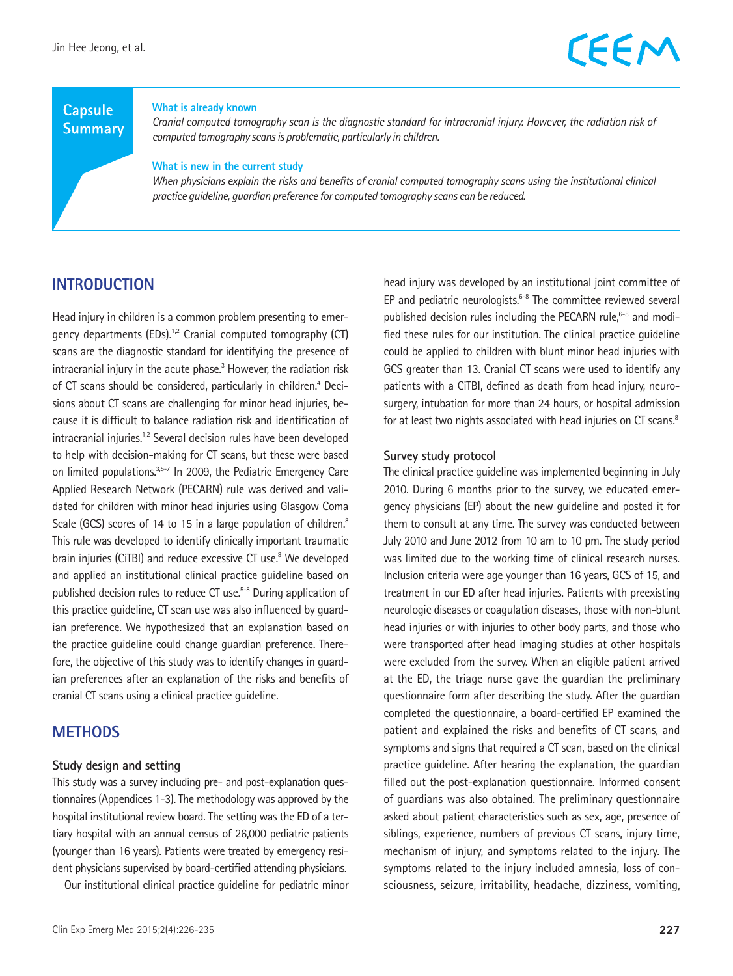## **Capsule Summary**

#### **What is already known**

*Cranial computed tomography scan is the diagnostic standard for intracranial injury. However, the radiation risk of computed tomography scans is problematic, particularly in children.*

#### **What is new in the current study**

*When physicians explain the risks and benefits of cranial computed tomography scans using the institutional clinical practice guideline, guardian preference for computed tomography scans can be reduced.* 

## **INTRODUCTION**

Head injury in children is a common problem presenting to emergency departments (EDs).<sup>1,2</sup> Cranial computed tomography (CT) scans are the diagnostic standard for identifying the presence of intracranial injury in the acute phase.<sup>3</sup> However, the radiation risk of CT scans should be considered, particularly in children.<sup>4</sup> Decisions about CT scans are challenging for minor head injuries, because it is difficult to balance radiation risk and identification of intracranial injuries.<sup>1,2</sup> Several decision rules have been developed to help with decision-making for CT scans, but these were based on limited populations.3,5-7 In 2009, the Pediatric Emergency Care Applied Research Network (PECARN) rule was derived and validated for children with minor head injuries using Glasgow Coma Scale (GCS) scores of 14 to 15 in a large population of children.<sup>8</sup> This rule was developed to identify clinically important traumatic brain injuries (CiTBI) and reduce excessive CT use.<sup>8</sup> We developed and applied an institutional clinical practice guideline based on published decision rules to reduce CT use.5-8 During application of this practice guideline, CT scan use was also influenced by guardian preference. We hypothesized that an explanation based on the practice guideline could change guardian preference. Therefore, the objective of this study was to identify changes in guardian preferences after an explanation of the risks and benefits of cranial CT scans using a clinical practice guideline.

### **METHODS**

#### **Study design and setting**

This study was a survey including pre- and post-explanation questionnaires (Appendices 1-3). The methodology was approved by the hospital institutional review board. The setting was the ED of a tertiary hospital with an annual census of 26,000 pediatric patients (younger than 16 years). Patients were treated by emergency resident physicians supervised by board-certified attending physicians.

Our institutional clinical practice guideline for pediatric minor

head injury was developed by an institutional joint committee of EP and pediatric neurologists. $6-8$  The committee reviewed several published decision rules including the PECARN rule, $6-8$  and modified these rules for our institution. The clinical practice guideline could be applied to children with blunt minor head injuries with GCS greater than 13. Cranial CT scans were used to identify any patients with a CiTBI, defined as death from head injury, neurosurgery, intubation for more than 24 hours, or hospital admission for at least two nights associated with head injuries on CT scans.<sup>8</sup>

### **Survey study protocol**

The clinical practice guideline was implemented beginning in July 2010. During 6 months prior to the survey, we educated emergency physicians (EP) about the new guideline and posted it for them to consult at any time. The survey was conducted between July 2010 and June 2012 from 10 am to 10 pm. The study period was limited due to the working time of clinical research nurses. Inclusion criteria were age younger than 16 years, GCS of 15, and treatment in our ED after head injuries. Patients with preexisting neurologic diseases or coagulation diseases, those with non-blunt head injuries or with injuries to other body parts, and those who were transported after head imaging studies at other hospitals were excluded from the survey. When an eligible patient arrived at the ED, the triage nurse gave the guardian the preliminary questionnaire form after describing the study. After the guardian completed the questionnaire, a board-certified EP examined the patient and explained the risks and benefits of CT scans, and symptoms and signs that required a CT scan, based on the clinical practice guideline. After hearing the explanation, the guardian filled out the post-explanation questionnaire. Informed consent of guardians was also obtained. The preliminary questionnaire asked about patient characteristics such as sex, age, presence of siblings, experience, numbers of previous CT scans, injury time, mechanism of injury, and symptoms related to the injury. The symptoms related to the injury included amnesia, loss of consciousness, seizure, irritability, headache, dizziness, vomiting,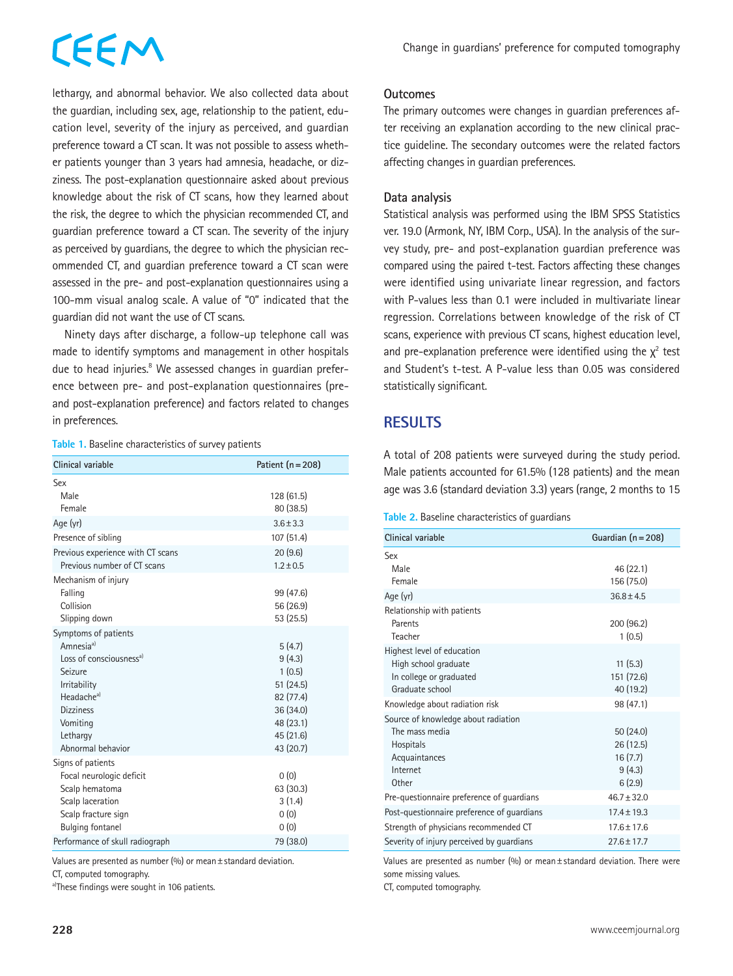# EEM

lethargy, and abnormal behavior. We also collected data about the guardian, including sex, age, relationship to the patient, education level, severity of the injury as perceived, and guardian preference toward a CT scan. It was not possible to assess whether patients younger than 3 years had amnesia, headache, or dizziness. The post-explanation questionnaire asked about previous knowledge about the risk of CT scans, how they learned about the risk, the degree to which the physician recommended CT, and guardian preference toward a CT scan. The severity of the injury as perceived by guardians, the degree to which the physician recommended CT, and guardian preference toward a CT scan were assessed in the pre- and post-explanation questionnaires using a 100-mm visual analog scale. A value of "0" indicated that the guardian did not want the use of CT scans.

Ninety days after discharge, a follow-up telephone call was made to identify symptoms and management in other hospitals due to head injuries.<sup>8</sup> We assessed changes in guardian preference between pre- and post-explanation questionnaires (preand post-explanation preference) and factors related to changes in preferences.

|  |  | Table 1. Baseline characteristics of survey patients |  |
|--|--|------------------------------------------------------|--|
|  |  |                                                      |  |

| Clinical variable                            | Patient $(n = 208)$ |  |  |  |
|----------------------------------------------|---------------------|--|--|--|
| Sex                                          |                     |  |  |  |
| Male                                         | 128 (61.5)          |  |  |  |
| Female                                       | 80 (38.5)           |  |  |  |
| Age (yr)                                     | $3.6 + 3.3$         |  |  |  |
| Presence of sibling                          | 107 (51.4)          |  |  |  |
| Previous experience with CT scans            | 20(9.6)             |  |  |  |
| Previous number of CT scans                  | $1.2 \pm 0.5$       |  |  |  |
| Mechanism of injury                          |                     |  |  |  |
| Falling                                      | 99 (47.6)           |  |  |  |
| Collision                                    | 56 (26.9)           |  |  |  |
| Slipping down                                | 53 (25.5)           |  |  |  |
| Symptoms of patients                         |                     |  |  |  |
| Amnesia <sup>a)</sup>                        | 5(4.7)              |  |  |  |
| Loss of consciousness <sup>a)</sup>          | 9(4.3)              |  |  |  |
| Seizure                                      | 1(0.5)              |  |  |  |
| Irritability                                 | 51(24.5)            |  |  |  |
| Headache <sup>a)</sup>                       | 82 (77.4)           |  |  |  |
| <b>Dizziness</b>                             | 36 (34.0)           |  |  |  |
| Vomiting                                     | 48 (23.1)           |  |  |  |
| Lethargy                                     | 45 (21.6)           |  |  |  |
| Abnormal behavior                            | 43 (20.7)           |  |  |  |
| Signs of patients                            |                     |  |  |  |
| Focal neurologic deficit                     | 0(0)                |  |  |  |
| Scalp hematoma                               | 63 (30.3)           |  |  |  |
| Scalp laceration                             | 3(1.4)              |  |  |  |
| Scalp fracture sign                          | 0(0)                |  |  |  |
| <b>Bulging fontanel</b>                      | 0(0)                |  |  |  |
| Performance of skull radiograph<br>79 (38.0) |                     |  |  |  |

Values are presented as number  $(%)$  or mean  $±$  standard deviation.

CT, computed tomography.

a)These findings were sought in 106 patients.

The primary outcomes were changes in guardian preferences after receiving an explanation according to the new clinical practice guideline. The secondary outcomes were the related factors affecting changes in guardian preferences.

### **Data analysis**

Statistical analysis was performed using the IBM SPSS Statistics ver. 19.0 (Armonk, NY, IBM Corp., USA). In the analysis of the survey study, pre- and post-explanation guardian preference was compared using the paired t-test. Factors affecting these changes were identified using univariate linear regression, and factors with P-values less than 0.1 were included in multivariate linear regression. Correlations between knowledge of the risk of CT scans, experience with previous CT scans, highest education level, and pre-explanation preference were identified using the  $\chi^2$  test and Student's t-test. A P-value less than 0.05 was considered statistically significant.

## **RESULTS**

A total of 208 patients were surveyed during the study period. Male patients accounted for 61.5% (128 patients) and the mean age was 3.6 (standard deviation 3.3) years (range, 2 months to 15

#### **Table 2.** Baseline characteristics of guardians

| Clinical variable                                                                                        | Guardian $(n = 208)$                                |
|----------------------------------------------------------------------------------------------------------|-----------------------------------------------------|
| Sex<br>Male                                                                                              | 46 (22.1)                                           |
| Female<br>Age (yr)                                                                                       | 156 (75.0)<br>$36.8 + 4.5$                          |
| Relationship with patients<br>Parents<br>Teacher                                                         | 200 (96.2)<br>1(0.5)                                |
| Highest level of education<br>High school graduate<br>In college or graduated<br>Graduate school         | 11(5.3)<br>151 (72.6)<br>40 (19.2)                  |
| Knowledge about radiation risk                                                                           | 98 (47.1)                                           |
| Source of knowledge about radiation<br>The mass media<br>Hospitals<br>Acquaintances<br>Internet<br>Other | 50(24.0)<br>26(12.5)<br>16(7.7)<br>9(4.3)<br>6(2.9) |
| Pre-questionnaire preference of quardians                                                                | $46.7 + 32.0$                                       |
| Post-questionnaire preference of quardians                                                               | $17.4 + 19.3$                                       |
| Strength of physicians recommended CT                                                                    | $17.6 + 17.6$                                       |
| Severity of injury perceived by quardians                                                                | $27.6 \pm 17.7$                                     |

Values are presented as number (%) or mean $\pm$  standard deviation. There were some missing values.

CT, computed tomography.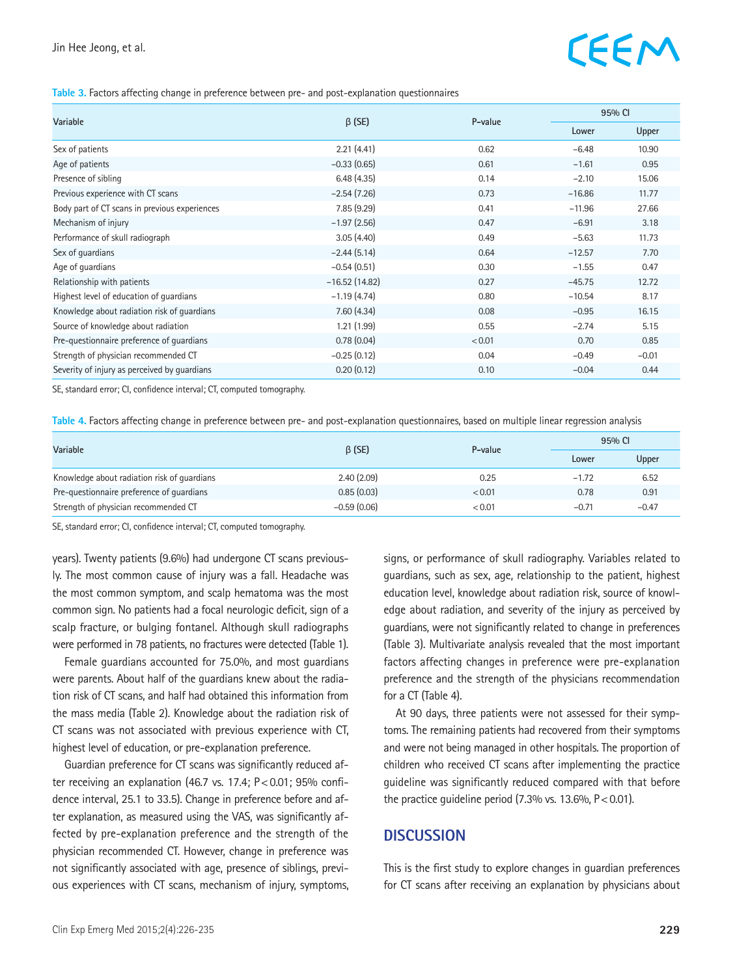## EEM

#### **Table 3.** Factors affecting change in preference between pre- and post-explanation questionnaires

| Variable                                      |                 |         | 95% CI   |         |
|-----------------------------------------------|-----------------|---------|----------|---------|
|                                               | $\beta$ (SE)    | P-value | Lower    | Upper   |
| Sex of patients                               | 2.21(4.41)      | 0.62    | $-6.48$  | 10.90   |
| Age of patients                               | $-0.33(0.65)$   | 0.61    | $-1.61$  | 0.95    |
| Presence of sibling                           | 6.48(4.35)      | 0.14    | $-2.10$  | 15.06   |
| Previous experience with CT scans             | $-2.54(7.26)$   | 0.73    | $-16.86$ | 11.77   |
| Body part of CT scans in previous experiences | 7.85(9.29)      | 0.41    | $-11.96$ | 27.66   |
| Mechanism of injury                           | $-1.97(2.56)$   | 0.47    | $-6.91$  | 3.18    |
| Performance of skull radiograph               | 3.05(4.40)      | 0.49    | $-5.63$  | 11.73   |
| Sex of quardians                              | $-2.44(5.14)$   | 0.64    | $-12.57$ | 7.70    |
| Age of guardians                              | $-0.54(0.51)$   | 0.30    | $-1.55$  | 0.47    |
| Relationship with patients                    | $-16.52(14.82)$ | 0.27    | $-45.75$ | 12.72   |
| Highest level of education of quardians       | $-1.19(4.74)$   | 0.80    | $-10.54$ | 8.17    |
| Knowledge about radiation risk of quardians   | 7.60(4.34)      | 0.08    | $-0.95$  | 16.15   |
| Source of knowledge about radiation           | 1.21(1.99)      | 0.55    | $-2.74$  | 5.15    |
| Pre-questionnaire preference of quardians     | 0.78(0.04)      | < 0.01  | 0.70     | 0.85    |
| Strength of physician recommended CT          | $-0.25(0.12)$   | 0.04    | $-0.49$  | $-0.01$ |
| Severity of injury as perceived by quardians  | 0.20(0.12)      | 0.10    | $-0.04$  | 0.44    |

SE, standard error; CI, confidence interval; CT, computed tomography.

**Table 4.** Factors affecting change in preference between pre- and post-explanation questionnaires, based on multiple linear regression analysis

| Variable                                    | $\beta$ (SE)  | P-value | 95% CI  |         |
|---------------------------------------------|---------------|---------|---------|---------|
|                                             |               |         | Lower   | Upper   |
| Knowledge about radiation risk of quardians | 2.40(2.09)    | 0.25    | $-1.72$ | 6.52    |
| Pre-questionnaire preference of quardians   | 0.85(0.03)    | < 0.01  | 0.78    | 0.91    |
| Strength of physician recommended CT        | $-0.59(0.06)$ | < 0.01  | $-0.71$ | $-0.47$ |

SE, standard error; CI, confidence interval; CT, computed tomography.

years). Twenty patients (9.6%) had undergone CT scans previously. The most common cause of injury was a fall. Headache was the most common symptom, and scalp hematoma was the most common sign. No patients had a focal neurologic deficit, sign of a scalp fracture, or bulging fontanel. Although skull radiographs were performed in 78 patients, no fractures were detected (Table 1).

Female guardians accounted for 75.0%, and most guardians were parents. About half of the guardians knew about the radiation risk of CT scans, and half had obtained this information from the mass media (Table 2). Knowledge about the radiation risk of CT scans was not associated with previous experience with CT, highest level of education, or pre-explanation preference.

Guardian preference for CT scans was significantly reduced after receiving an explanation (46.7 vs. 17.4; P<0.01; 95% confidence interval, 25.1 to 33.5). Change in preference before and after explanation, as measured using the VAS, was significantly affected by pre-explanation preference and the strength of the physician recommended CT. However, change in preference was not significantly associated with age, presence of siblings, previous experiences with CT scans, mechanism of injury, symptoms, signs, or performance of skull radiography. Variables related to guardians, such as sex, age, relationship to the patient, highest education level, knowledge about radiation risk, source of knowledge about radiation, and severity of the injury as perceived by guardians, were not significantly related to change in preferences (Table 3). Multivariate analysis revealed that the most important factors affecting changes in preference were pre-explanation preference and the strength of the physicians recommendation for a CT (Table 4).

At 90 days, three patients were not assessed for their symptoms. The remaining patients had recovered from their symptoms and were not being managed in other hospitals. The proportion of children who received CT scans after implementing the practice guideline was significantly reduced compared with that before the practice quideline period  $(7.3\%$  vs. 13.6%, P < 0.01).

### **DISCUSSION**

This is the first study to explore changes in guardian preferences for CT scans after receiving an explanation by physicians about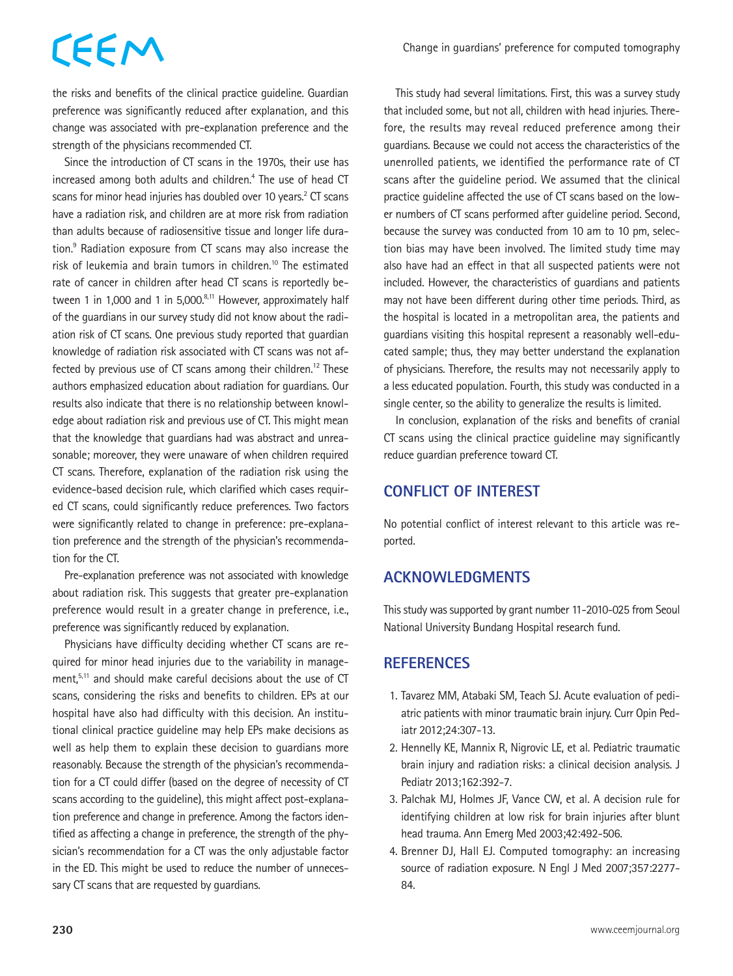## CEEM

the risks and benefits of the clinical practice guideline. Guardian preference was significantly reduced after explanation, and this change was associated with pre-explanation preference and the strength of the physicians recommended CT.

Since the introduction of CT scans in the 1970s, their use has increased among both adults and children.<sup>4</sup> The use of head CT scans for minor head injuries has doubled over 10 years.<sup>2</sup> CT scans have a radiation risk, and children are at more risk from radiation than adults because of radiosensitive tissue and longer life duration.<sup>9</sup> Radiation exposure from CT scans may also increase the risk of leukemia and brain tumors in children.<sup>10</sup> The estimated rate of cancer in children after head CT scans is reportedly between 1 in 1,000 and 1 in 5,000. $8,11$  However, approximately half of the guardians in our survey study did not know about the radiation risk of CT scans. One previous study reported that guardian knowledge of radiation risk associated with CT scans was not affected by previous use of CT scans among their children.<sup>12</sup> These authors emphasized education about radiation for guardians. Our results also indicate that there is no relationship between knowledge about radiation risk and previous use of CT. This might mean that the knowledge that guardians had was abstract and unreasonable; moreover, they were unaware of when children required CT scans. Therefore, explanation of the radiation risk using the evidence-based decision rule, which clarified which cases required CT scans, could significantly reduce preferences. Two factors were significantly related to change in preference: pre-explanation preference and the strength of the physician's recommendation for the CT.

Pre-explanation preference was not associated with knowledge about radiation risk. This suggests that greater pre-explanation preference would result in a greater change in preference, i.e., preference was significantly reduced by explanation.

Physicians have difficulty deciding whether CT scans are required for minor head injuries due to the variability in management,<sup>5,11</sup> and should make careful decisions about the use of CT scans, considering the risks and benefits to children. EPs at our hospital have also had difficulty with this decision. An institutional clinical practice guideline may help EPs make decisions as well as help them to explain these decision to guardians more reasonably. Because the strength of the physician's recommendation for a CT could differ (based on the degree of necessity of CT scans according to the guideline), this might affect post-explanation preference and change in preference. Among the factors identified as affecting a change in preference, the strength of the physician's recommendation for a CT was the only adjustable factor in the ED. This might be used to reduce the number of unnecessary CT scans that are requested by guardians.

This study had several limitations. First, this was a survey study that included some, but not all, children with head injuries. Therefore, the results may reveal reduced preference among their guardians. Because we could not access the characteristics of the unenrolled patients, we identified the performance rate of CT scans after the guideline period. We assumed that the clinical practice guideline affected the use of CT scans based on the lower numbers of CT scans performed after guideline period. Second, because the survey was conducted from 10 am to 10 pm, selection bias may have been involved. The limited study time may also have had an effect in that all suspected patients were not included. However, the characteristics of guardians and patients may not have been different during other time periods. Third, as the hospital is located in a metropolitan area, the patients and guardians visiting this hospital represent a reasonably well-educated sample; thus, they may better understand the explanation of physicians. Therefore, the results may not necessarily apply to a less educated population. Fourth, this study was conducted in a single center, so the ability to generalize the results is limited.

In conclusion, explanation of the risks and benefits of cranial CT scans using the clinical practice guideline may significantly reduce guardian preference toward CT.

## **CONFLICT OF INTEREST**

No potential conflict of interest relevant to this article was reported.

## **ACKNOWLEDGMENTS**

This study was supported by grant number 11-2010-025 from Seoul National University Bundang Hospital research fund.

## **REFERENCES**

- 1. Tavarez MM, Atabaki SM, Teach SJ. Acute evaluation of pediatric patients with minor traumatic brain injury. Curr Opin Pediatr 2012;24:307-13.
- 2. Hennelly KE, Mannix R, Nigrovic LE, et al. Pediatric traumatic brain injury and radiation risks: a clinical decision analysis. J Pediatr 2013;162:392-7.
- 3. Palchak MJ, Holmes JF, Vance CW, et al. A decision rule for identifying children at low risk for brain injuries after blunt head trauma. Ann Emerg Med 2003;42:492-506.
- 4. Brenner DJ, Hall EJ. Computed tomography: an increasing source of radiation exposure. N Engl J Med 2007;357:2277- 84.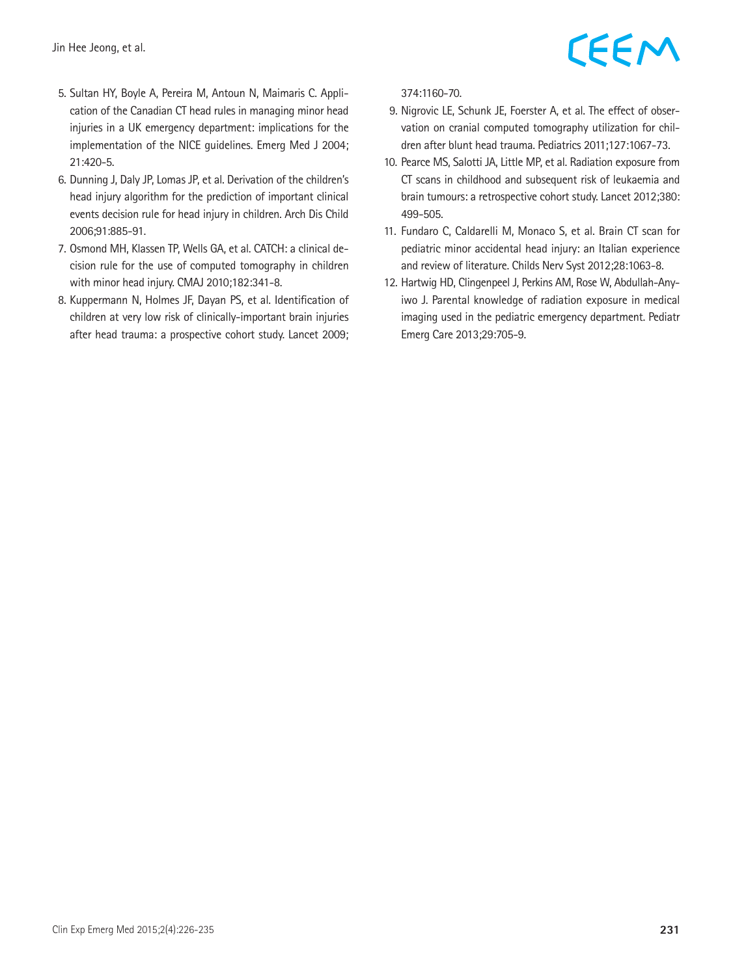

- 5. Sultan HY, Boyle A, Pereira M, Antoun N, Maimaris C. Application of the Canadian CT head rules in managing minor head injuries in a UK emergency department: implications for the implementation of the NICE guidelines. Emerg Med J 2004; 21:420-5.
- 6. Dunning J, Daly JP, Lomas JP, et al. Derivation of the children's head injury algorithm for the prediction of important clinical events decision rule for head injury in children. Arch Dis Child 2006;91:885-91.
- 7. Osmond MH, Klassen TP, Wells GA, et al. CATCH: a clinical decision rule for the use of computed tomography in children with minor head injury. CMAJ 2010;182:341-8.
- 8. Kuppermann N, Holmes JF, Dayan PS, et al. Identification of children at very low risk of clinically-important brain injuries after head trauma: a prospective cohort study. Lancet 2009;

374:1160-70.

- 9. Nigrovic LE, Schunk JE, Foerster A, et al. The effect of observation on cranial computed tomography utilization for children after blunt head trauma. Pediatrics 2011;127:1067-73.
- 10. Pearce MS, Salotti JA, Little MP, et al. Radiation exposure from CT scans in childhood and subsequent risk of leukaemia and brain tumours: a retrospective cohort study. Lancet 2012;380: 499-505.
- 11. Fundaro C, Caldarelli M, Monaco S, et al. Brain CT scan for pediatric minor accidental head injury: an Italian experience and review of literature. Childs Nerv Syst 2012;28:1063-8.
- 12. Hartwig HD, Clingenpeel J, Perkins AM, Rose W, Abdullah-Anyiwo J. Parental knowledge of radiation exposure in medical imaging used in the pediatric emergency department. Pediatr Emerg Care 2013;29:705-9.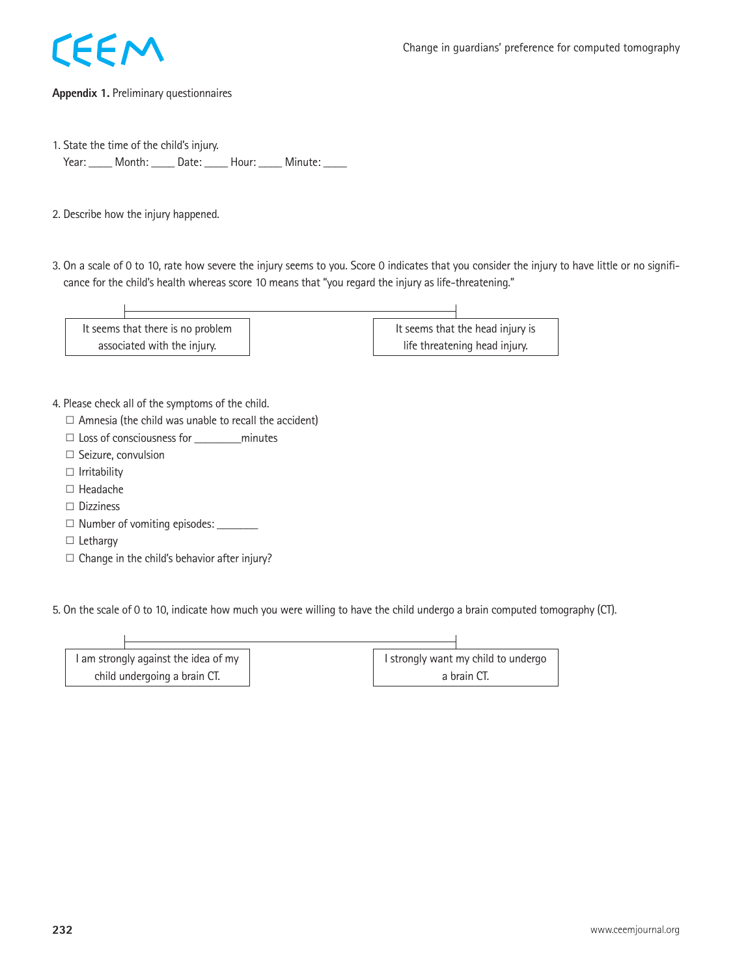

### **Appendix 1.** Preliminary questionnaires

- 1. State the time of the child's injury. Year: \_\_\_\_\_ Month: \_\_\_\_\_ Date: \_\_\_\_\_ Hour: \_\_\_\_\_ Minute: \_\_\_\_
- 2. Describe how the injury happened.
- 3. On a scale of 0 to 10, rate how severe the injury seems to you. Score 0 indicates that you consider the injury to have little or no significance for the child's health whereas score 10 means that "you regard the injury as life-threatening."



- 4. Please check all of the symptoms of the child.
	- $\square$  Amnesia (the child was unable to recall the accident)
	- $\Box$  Loss of consciousness for  $\Box$  minutes
	- □ Seizure, convulsion
	- □ Irritability
	- □ Headache
	- □ Dizziness
	- □ Number of vomiting episodes: \_\_\_\_\_\_\_\_
	- □ Lethargy
	- $\square$  Change in the child's behavior after injury?

5. On the scale of 0 to 10, indicate how much you were willing to have the child undergo a brain computed tomography (CT).

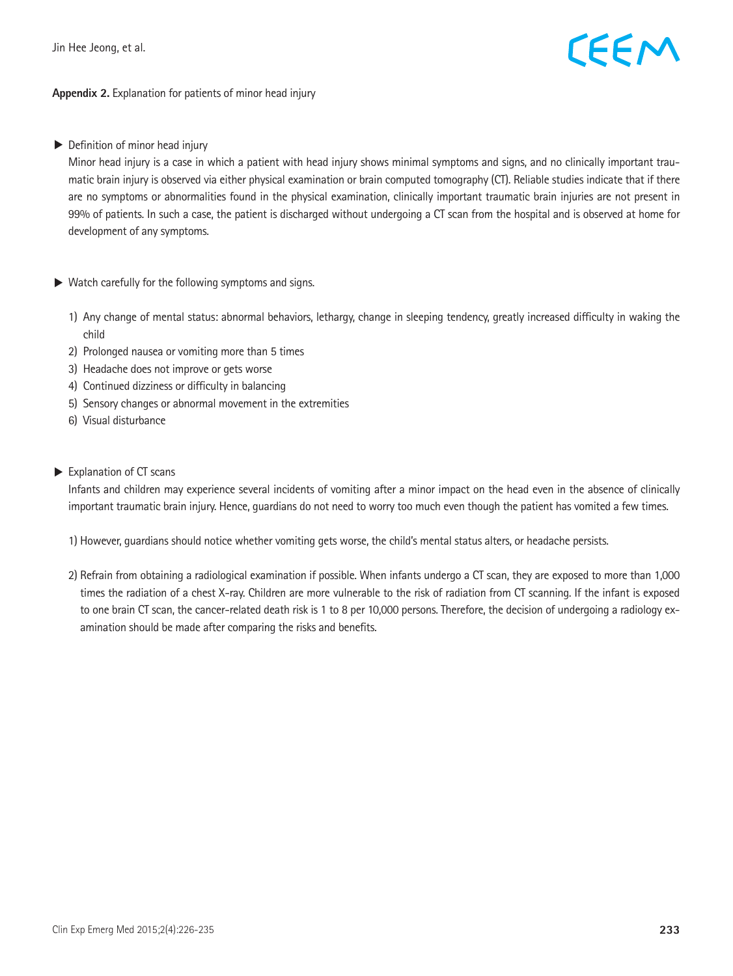## CEEM

### **Appendix 2.** Explanation for patients of minor head injury

▶ Definition of minor head injury

 Minor head injury is a case in which a patient with head injury shows minimal symptoms and signs, and no clinically important traumatic brain injury is observed via either physical examination or brain computed tomography (CT). Reliable studies indicate that if there are no symptoms or abnormalities found in the physical examination, clinically important traumatic brain injuries are not present in 99% of patients. In such a case, the patient is discharged without undergoing a CT scan from the hospital and is observed at home for development of any symptoms.

- $\triangleright$  Watch carefully for the following symptoms and signs.
	- 1) Any change of mental status: abnormal behaviors, lethargy, change in sleeping tendency, greatly increased difficulty in waking the child
	- 2) Prolonged nausea or vomiting more than 5 times
	- 3) Headache does not improve or gets worse
	- 4) Continued dizziness or difficulty in balancing
	- 5) Sensory changes or abnormal movement in the extremities
	- 6) Visual disturbance
- ▶ Explanation of CT scans

 Infants and children may experience several incidents of vomiting after a minor impact on the head even in the absence of clinically important traumatic brain injury. Hence, guardians do not need to worry too much even though the patient has vomited a few times.

1) However, guardians should notice whether vomiting gets worse, the child's mental status alters, or headache persists.

2) Refrain from obtaining a radiological examination if possible. When infants undergo a CT scan, they are exposed to more than 1,000 times the radiation of a chest X-ray. Children are more vulnerable to the risk of radiation from CT scanning. If the infant is exposed to one brain CT scan, the cancer-related death risk is 1 to 8 per 10,000 persons. Therefore, the decision of undergoing a radiology examination should be made after comparing the risks and benefits.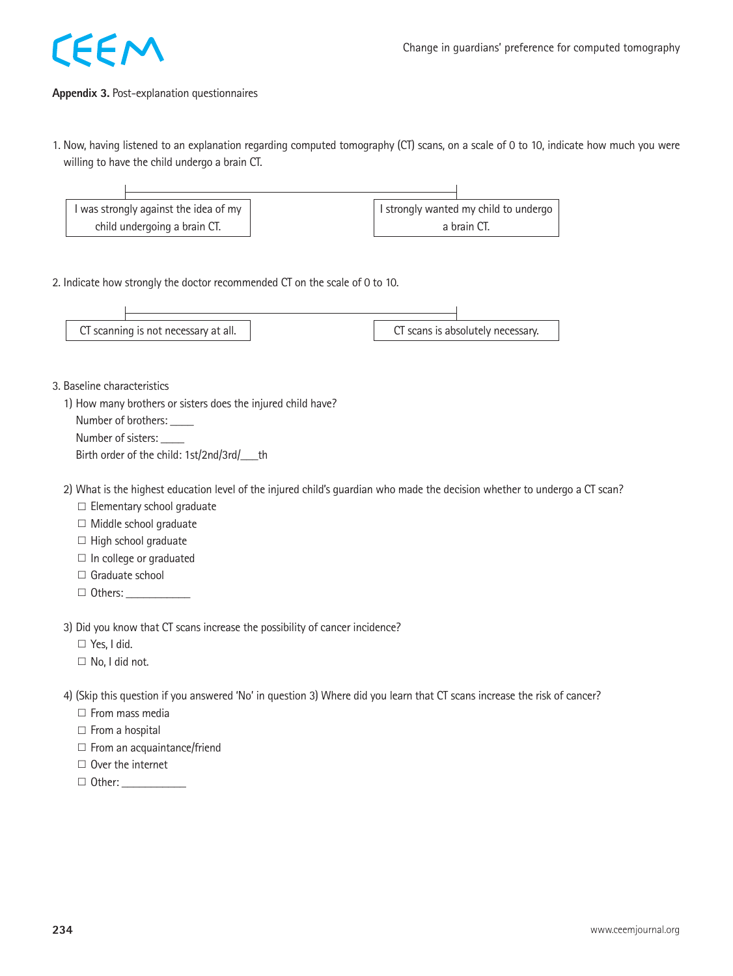

### **Appendix 3.** Post-explanation questionnaires

1. Now, having listened to an explanation regarding computed tomography (CT) scans, on a scale of 0 to 10, indicate how much you were willing to have the child undergo a brain CT.



2. Indicate how strongly the doctor recommended CT on the scale of 0 to 10.



3. Baseline characteristics

1) How many brothers or sisters does the injured child have?

Number of brothers: \_\_\_\_\_

Number of sisters: \_\_\_\_

Birth order of the child: 1st/2nd/3rd/ th

2) What is the highest education level of the injured child's guardian who made the decision whether to undergo a CT scan?

□ Elementary school graduate

□ Middle school graduate

□ High school graduate

 $\square$  In college or graduated

□ Graduate school

□ Others: \_\_\_\_\_\_\_\_\_\_\_

3) Did you know that CT scans increase the possibility of cancer incidence?

□ Yes, I did.

□ No, I did not.

4) (Skip this question if you answered 'No' in question 3) Where did you learn that CT scans increase the risk of cancer?

□ From mass media

□ From a hospital

 $\square$  From an acquaintance/friend

□ Over the internet

□ Other: \_\_\_\_\_\_\_\_\_\_\_